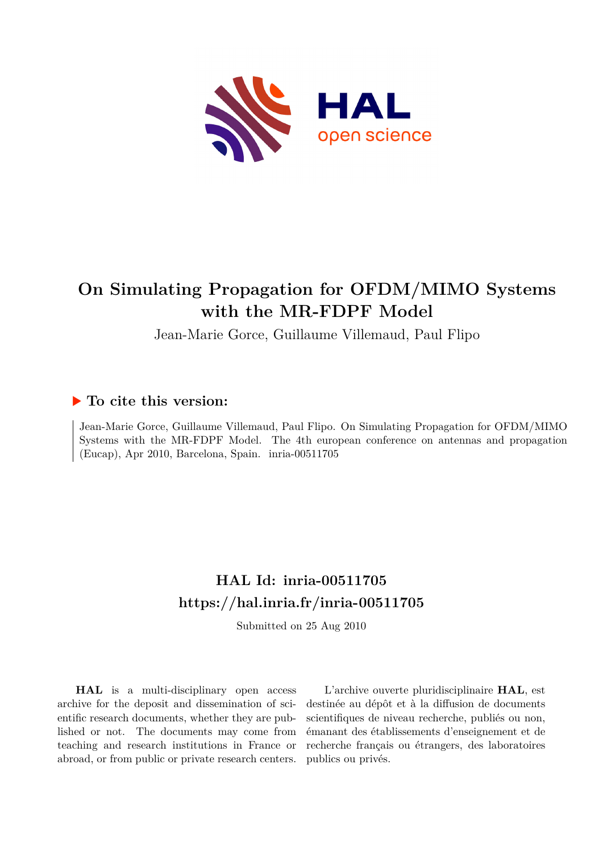

## **On Simulating Propagation for OFDM/MIMO Systems with the MR-FDPF Model**

Jean-Marie Gorce, Guillaume Villemaud, Paul Flipo

### **To cite this version:**

Jean-Marie Gorce, Guillaume Villemaud, Paul Flipo. On Simulating Propagation for OFDM/MIMO Systems with the MR-FDPF Model. The 4th european conference on antennas and propagation (Eucap), Apr 2010, Barcelona, Spain. inria-00511705

## **HAL Id: inria-00511705 <https://hal.inria.fr/inria-00511705>**

Submitted on 25 Aug 2010

**HAL** is a multi-disciplinary open access archive for the deposit and dissemination of scientific research documents, whether they are published or not. The documents may come from teaching and research institutions in France or abroad, or from public or private research centers.

L'archive ouverte pluridisciplinaire **HAL**, est destinée au dépôt et à la diffusion de documents scientifiques de niveau recherche, publiés ou non, émanant des établissements d'enseignement et de recherche français ou étrangers, des laboratoires publics ou privés.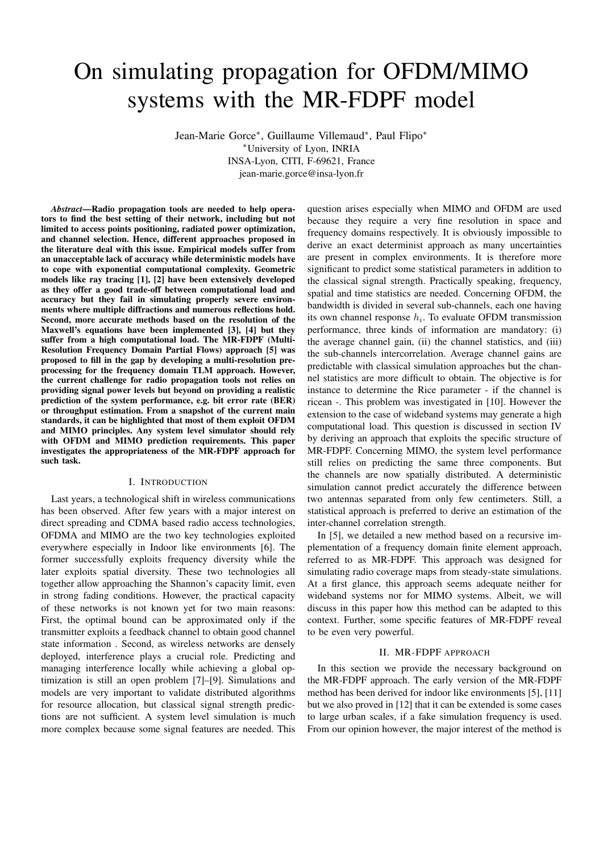# On simulating propagation for OFDM/MIMO systems with the MR-FDPF model

Jean-Marie Gorce\*, Guillaume Villemaud\*, Paul Flipo\* <sup>∗</sup>University of Lyon, INRIA INSA-Lyon, CITI, F-69621, France jean-marie.gorce@insa-lyon.fr

*Abstract*—Radio propagation tools are needed to help operators to find the best setting of their network, including but not limited to access points positioning, radiated power optimization, and channel selection. Hence, different approaches proposed in the literature deal with this issue. Empirical models suffer from an unacceptable lack of accuracy while deterministic models have to cope with exponential computational complexity. Geometric models like ray tracing [1], [2] have been extensively developed as they offer a good trade-off between computational load and accuracy but they fail in simulating properly severe environments where multiple diffractions and numerous reflections hold. Second, more accurate methods based on the resolution of the Maxwell's equations have been implemented [3], [4] but they suffer from a high computational load. The MR-FDPF (Multi-Resolution Frequency Domain Partial Flows) approach [5] was proposed to fill in the gap by developing a multi-resolution preprocessing for the frequency domain TLM approach. However, the current challenge for radio propagation tools not relies on providing signal power levels but beyond on providing a realistic prediction of the system performance, e.g. bit error rate (BER) or throughput estimation. From a snapshot of the current main standards, it can be highlighted that most of them exploit OFDM and MIMO principles. Any system level simulator should rely with OFDM and MIMO prediction requirements. This paper investigates the appropriateness of the MR-FDPF approach for such task.

#### I. INTRODUCTION

Last years, a technological shift in wireless communications has been observed. After few years with a major interest on direct spreading and CDMA based radio access technologies, OFDMA and MIMO are the two key technologies exploited everywhere especially in Indoor like environments [6]. The former successfully exploits frequency diversity while the later exploits spatial diversity. These two technologies all together allow approaching the Shannon's capacity limit, even in strong fading conditions. However, the practical capacity of these networks is not known yet for two main reasons: First, the optimal bound can be approximated only if the transmitter exploits a feedback channel to obtain good channel state information . Second, as wireless networks are densely deployed, interference plays a crucial role. Predicting and managing interference locally while achieving a global optimization is still an open problem [7]–[9]. Simulations and models are very important to validate distributed algorithms for resource allocation, but classical signal strength predictions are not sufficient. A system level simulation is much more complex because some signal features are needed. This

question arises especially when MIMO and OFDM are used because they require a very fine resolution in space and frequency domains respectively. It is obviously impossible to derive an exact determinist approach as many uncertainties are present in complex environments. It is therefore more significant to predict some statistical parameters in addition to the classical signal strength. Practically speaking, frequency, spatial and time statistics are needed. Concerning OFDM, the bandwidth is divided in several sub-channels, each one having its own channel response  $h_i$ . To evaluate OFDM transmission performance, three kinds of information are mandatory: (i) the average channel gain, (ii) the channel statistics, and (iii) the sub-channels intercorrelation. Average channel gains are predictable with classical simulation approaches but the channel statistics are more difficult to obtain. The objective is for instance to determine the Rice parameter - if the channel is ricean -. This problem was investigated in [10]. However the extension to the case of wideband systems may generate a high computational load. This question is discussed in section IV by deriving an approach that exploits the specific structure of MR-FDPF. Concerning MIMO, the system level performance still relies on predicting the same three components. But the channels are now spatially distributed. A deterministic simulation cannot predict accurately the difference between two antennas separated from only few centimeters. Still, a statistical approach is preferred to derive an estimation of the inter-channel correlation strength.

In [5], we detailed a new method based on a recursive implementation of a frequency domain finite element approach, referred to as MR-FDPF. This approach was designed for simulating radio coverage maps from steady-state simulations. At a first glance, this approach seems adequate neither for wideband systems nor for MIMO systems. Albeit, we will discuss in this paper how this method can be adapted to this context. Further, some specific features of MR-FDPF reveal to be even very powerful.

#### II. MR-FDPF APPROACH

In this section we provide the necessary background on the MR-FDPF approach. The early version of the MR-FDPF method has been derived for indoor like environments [5], [11] but we also proved in [12] that it can be extended is some cases to large urban scales, if a fake simulation frequency is used. From our opinion however, the major interest of the method is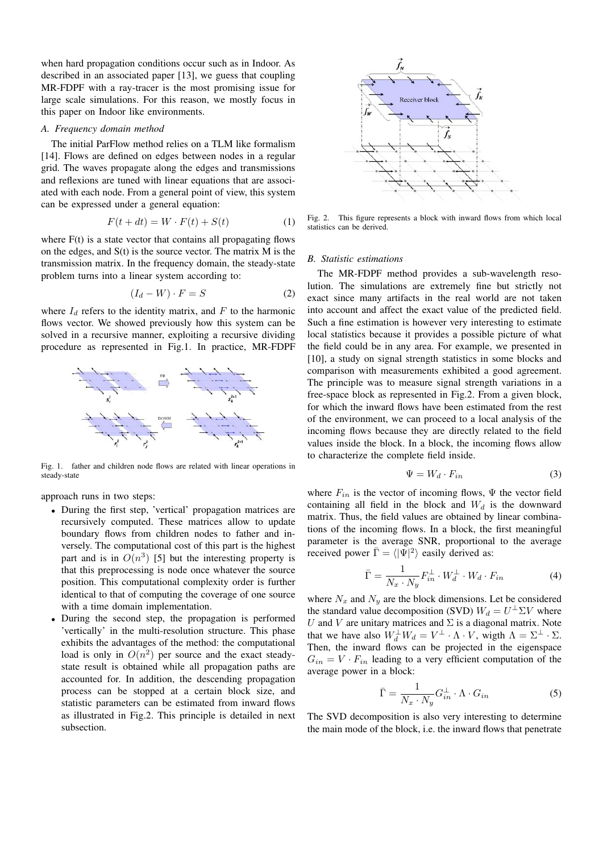when hard propagation conditions occur such as in Indoor. As described in an associated paper [13], we guess that coupling MR-FDPF with a ray-tracer is the most promising issue for large scale simulations. For this reason, we mostly focus in this paper on Indoor like environments.

#### *A. Frequency domain method*

The initial ParFlow method relies on a TLM like formalism [14]. Flows are defined on edges between nodes in a regular grid. The waves propagate along the edges and transmissions and reflexions are tuned with linear equations that are associated with each node. From a general point of view, this system can be expressed under a general equation:

$$
F(t + dt) = W \cdot F(t) + S(t)
$$
 (1)

where  $F(t)$  is a state vector that contains all propagating flows on the edges, and S(t) is the source vector. The matrix M is the transmission matrix. In the frequency domain, the steady-state problem turns into a linear system according to:

$$
(I_d - W) \cdot F = S \tag{2}
$$

where  $I_d$  refers to the identity matrix, and F to the harmonic flows vector. We showed previously how this system can be solved in a recursive manner, exploiting a recursive dividing procedure as represented in Fig.1. In practice, MR-FDPF



Fig. 1. father and children node flows are related with linear operations in steady-state

approach runs in two steps:

- During the first step, 'vertical' propagation matrices are recursively computed. These matrices allow to update boundary flows from children nodes to father and inversely. The computational cost of this part is the highest part and is in  $O(n^3)$  [5] but the interesting property is that this preprocessing is node once whatever the source position. This computational complexity order is further identical to that of computing the coverage of one source with a time domain implementation.
- During the second step, the propagation is performed 'vertically' in the multi-resolution structure. This phase exhibits the advantages of the method: the computational load is only in  $O(n^2)$  per source and the exact steadystate result is obtained while all propagation paths are accounted for. In addition, the descending propagation process can be stopped at a certain block size, and statistic parameters can be estimated from inward flows as illustrated in Fig.2. This principle is detailed in next subsection.



Fig. 2. This figure represents a block with inward flows from which local statistics can be derived.

#### *B. Statistic estimations*

The MR-FDPF method provides a sub-wavelength resolution. The simulations are extremely fine but strictly not exact since many artifacts in the real world are not taken into account and affect the exact value of the predicted field. Such a fine estimation is however very interesting to estimate local statistics because it provides a possible picture of what the field could be in any area. For example, we presented in [10], a study on signal strength statistics in some blocks and comparison with measurements exhibited a good agreement. The principle was to measure signal strength variations in a free-space block as represented in Fig.2. From a given block, for which the inward flows have been estimated from the rest of the environment, we can proceed to a local analysis of the incoming flows because they are directly related to the field values inside the block. In a block, the incoming flows allow to characterize the complete field inside.

$$
\Psi = W_d \cdot F_{in} \tag{3}
$$

where  $F_{in}$  is the vector of incoming flows,  $\Psi$  the vector field containing all field in the block and  $W<sub>d</sub>$  is the downward matrix. Thus, the field values are obtained by linear combinations of the incoming flows. In a block, the first meaningful parameter is the average SNR, proportional to the average received power  $\bar{\Gamma} = \langle |\Psi|^2 \rangle$  easily derived as:

$$
\bar{\Gamma} = \frac{1}{N_x \cdot N_y} F_{in}^{\perp} \cdot W_d^{\perp} \cdot W_d \cdot F_{in}
$$
\n(4)

where  $N_x$  and  $N_y$  are the block dimensions. Let be considered the standard value decomposition (SVD)  $W_d = U^{\perp} \Sigma V$  where U and V are unitary matrices and  $\Sigma$  is a diagonal matrix. Note that we have also  $W_d^{\perp} W_d = V^{\perp} \cdot \Lambda \cdot V$ , wigth  $\Lambda = \Sigma^{\perp} \cdot \Sigma$ . Then, the inward flows can be projected in the eigenspace  $G_{in} = V \cdot F_{in}$  leading to a very efficient computation of the average power in a block:

$$
\bar{\Gamma} = \frac{1}{N_x \cdot N_y} G_{in}^{\perp} \cdot \Lambda \cdot G_{in}
$$
 (5)

The SVD decomposition is also very interesting to determine the main mode of the block, i.e. the inward flows that penetrate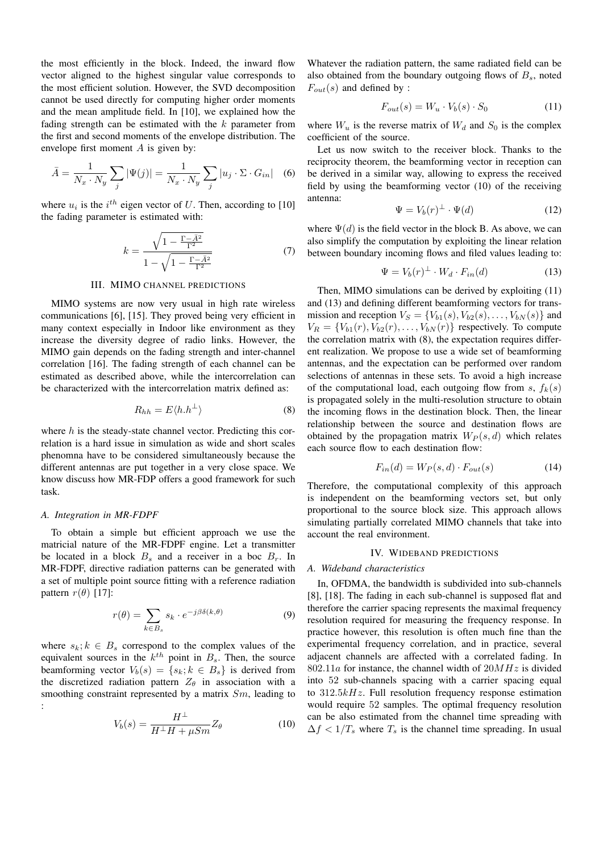the most efficiently in the block. Indeed, the inward flow vector aligned to the highest singular value corresponds to the most efficient solution. However, the SVD decomposition cannot be used directly for computing higher order moments and the mean amplitude field. In [10], we explained how the fading strength can be estimated with the  $k$  parameter from the first and second moments of the envelope distribution. The envelope first moment A is given by:

$$
\bar{A} = \frac{1}{N_x \cdot N_y} \sum_j |\Psi(j)| = \frac{1}{N_x \cdot N_y} \sum_j |u_j \cdot \Sigma \cdot G_{in}| \quad (6)
$$

where  $u_i$  is the  $i^{th}$  eigen vector of U. Then, according to [10] the fading parameter is estimated with:

$$
k = \frac{\sqrt{1 - \frac{\Gamma - \bar{A}^2}{\Gamma^2}}}{1 - \sqrt{1 - \frac{\Gamma - \bar{A}^2}{\Gamma^2}}}
$$
(7)

#### III. MIMO CHANNEL PREDICTIONS

MIMO systems are now very usual in high rate wireless communications [6], [15]. They proved being very efficient in many context especially in Indoor like environment as they increase the diversity degree of radio links. However, the MIMO gain depends on the fading strength and inter-channel correlation [16]. The fading strength of each channel can be estimated as described above, while the intercorrelation can be characterized with the intercorrelation matrix defined as:

$$
R_{hh} = E \langle h.h^{\perp} \rangle \tag{8}
$$

where  $h$  is the steady-state channel vector. Predicting this correlation is a hard issue in simulation as wide and short scales phenomna have to be considered simultaneously because the different antennas are put together in a very close space. We know discuss how MR-FDP offers a good framework for such task.

#### *A. Integration in MR-FDPF*

To obtain a simple but efficient approach we use the matricial nature of the MR-FDPF engine. Let a transmitter be located in a block  $B_s$  and a receiver in a boc  $B_r$ . In MR-FDPF, directive radiation patterns can be generated with a set of multiple point source fitting with a reference radiation pattern  $r(\theta)$  [17]:

$$
r(\theta) = \sum_{k \in B_s} s_k \cdot e^{-j\beta \delta(k,\theta)} \tag{9}
$$

where  $s_k; k \in B_s$  correspond to the complex values of the equivalent sources in the  $k^{th}$  point in  $B_s$ . Then, the source beamforming vector  $V_b(s) = \{s_k; k \in B_s\}$  is derived from the discretized radiation pattern  $Z_{\theta}$  in association with a smoothing constraint represented by a matrix  $Sm$ , leading to :

$$
V_b(s) = \frac{H^{\perp}}{H^{\perp}H + \mu Sm} Z_{\theta}
$$
 (10)

Whatever the radiation pattern, the same radiated field can be also obtained from the boundary outgoing flows of  $B_s$ , noted  $F_{out}(s)$  and defined by :

$$
F_{out}(s) = W_u \cdot V_b(s) \cdot S_0 \tag{11}
$$

where  $W_u$  is the reverse matrix of  $W_d$  and  $S_0$  is the complex coefficient of the source.

Let us now switch to the receiver block. Thanks to the reciprocity theorem, the beamforming vector in reception can be derived in a similar way, allowing to express the received field by using the beamforming vector (10) of the receiving antenna:

$$
\Psi = V_b(r)^{\perp} \cdot \Psi(d) \tag{12}
$$

where  $\Psi(d)$  is the field vector in the block B. As above, we can also simplify the computation by exploiting the linear relation between boundary incoming flows and filed values leading to:

$$
\Psi = V_b(r)^{\perp} \cdot W_d \cdot F_{in}(d) \tag{13}
$$

Then, MIMO simulations can be derived by exploiting (11) and (13) and defining different beamforming vectors for transmission and reception  $V_S = \{V_{b1}(s), V_{b2}(s), \ldots, V_{bN}(s)\}\$  and  $V_R = \{V_{b1}(r), V_{b2}(r), \ldots, V_{bN}(r)\}\;$  respectively. To compute the correlation matrix with (8), the expectation requires different realization. We propose to use a wide set of beamforming antennas, and the expectation can be performed over random selections of antennas in these sets. To avoid a high increase of the computational load, each outgoing flow from s,  $f_k(s)$ is propagated solely in the multi-resolution structure to obtain the incoming flows in the destination block. Then, the linear relationship between the source and destination flows are obtained by the propagation matrix  $W_P(s, d)$  which relates each source flow to each destination flow:

$$
F_{in}(d) = W_P(s, d) \cdot F_{out}(s) \tag{14}
$$

Therefore, the computational complexity of this approach is independent on the beamforming vectors set, but only proportional to the source block size. This approach allows simulating partially correlated MIMO channels that take into account the real environment.

#### IV. WIDEBAND PREDICTIONS

#### *A. Wideband characteristics*

In, OFDMA, the bandwidth is subdivided into sub-channels [8], [18]. The fading in each sub-channel is supposed flat and therefore the carrier spacing represents the maximal frequency resolution required for measuring the frequency response. In practice however, this resolution is often much fine than the experimental frequency correlation, and in practice, several adjacent channels are affected with a correlated fading. In 802.11a for instance, the channel width of  $20MHz$  is divided into 52 sub-channels spacing with a carrier spacing equal to  $312.5kHz$ . Full resolution frequency response estimation would require 52 samples. The optimal frequency resolution can be also estimated from the channel time spreading with  $\Delta f < 1/T_s$  where  $T_s$  is the channel time spreading. In usual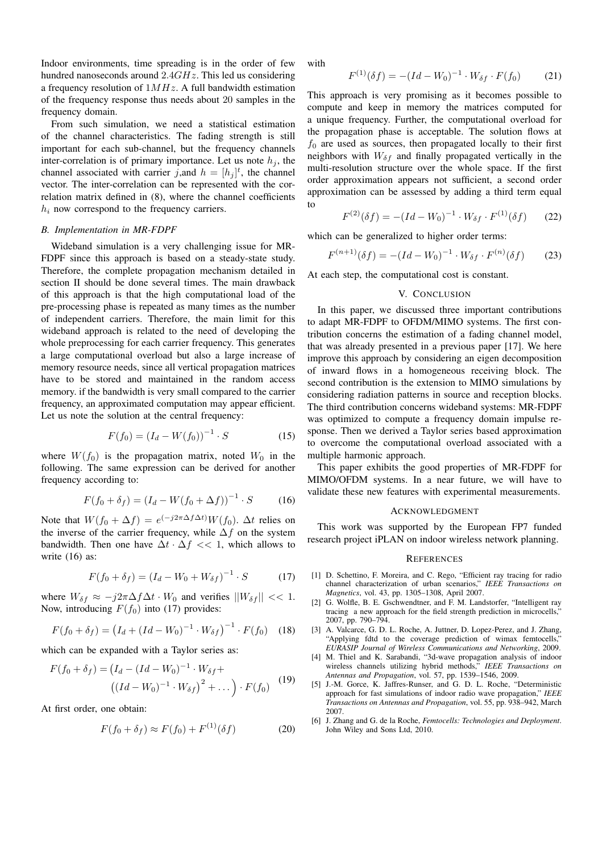Indoor environments, time spreading is in the order of few hundred nanoseconds around 2.4GHz. This led us considering a frequency resolution of  $1MHz$ . A full bandwidth estimation of the frequency response thus needs about 20 samples in the frequency domain.

From such simulation, we need a statistical estimation of the channel characteristics. The fading strength is still important for each sub-channel, but the frequency channels inter-correlation is of primary importance. Let us note  $h_i$ , the channel associated with carrier j, and  $h = [h_j]$ <sup>t</sup>, the channel vector. The inter-correlation can be represented with the correlation matrix defined in (8), where the channel coefficients  $h_i$  now correspond to the frequency carriers.

#### *B. Implementation in MR-FDPF*

Wideband simulation is a very challenging issue for MR-FDPF since this approach is based on a steady-state study. Therefore, the complete propagation mechanism detailed in section II should be done several times. The main drawback of this approach is that the high computational load of the pre-processing phase is repeated as many times as the number of independent carriers. Therefore, the main limit for this wideband approach is related to the need of developing the whole preprocessing for each carrier frequency. This generates a large computational overload but also a large increase of memory resource needs, since all vertical propagation matrices have to be stored and maintained in the random access memory. if the bandwidth is very small compared to the carrier frequency, an approximated computation may appear efficient. Let us note the solution at the central frequency:

$$
F(f_0) = (I_d - W(f_0))^{-1} \cdot S \tag{15}
$$

where  $W(f_0)$  is the propagation matrix, noted  $W_0$  in the following. The same expression can be derived for another frequency according to:

$$
F(f_0 + \delta_f) = (I_d - W(f_0 + \Delta f))^{-1} \cdot S \tag{16}
$$

Note that  $W(f_0 + \Delta f) = e^{(-j2\pi \Delta f \Delta t)} W(f_0)$ .  $\Delta t$  relies on the inverse of the carrier frequency, while  $\Delta f$  on the system bandwidth. Then one have  $\Delta t \cdot \Delta f \ll 1$ , which allows to write (16) as:

$$
F(f_0 + \delta_f) = (I_d - W_0 + W_{\delta f})^{-1} \cdot S \tag{17}
$$

where  $W_{\delta f} \approx -j2\pi\Delta f \Delta t \cdot W_0$  and verifies  $||W_{\delta f}|| << 1$ . Now, introducing  $F(f_0)$  into (17) provides:

$$
F(f_0 + \delta_f) = (I_d + (Id - W_0)^{-1} \cdot W_{\delta f})^{-1} \cdot F(f_0) \quad (18)
$$

which can be expanded with a Taylor series as:

$$
F(f_0 + \delta_f) = (I_d - (Id - W_0)^{-1} \cdot W_{\delta f} + ((Id - W_0)^{-1} \cdot W_{\delta f})^2 + \dots) \cdot F(f_0)
$$
 (19)

At first order, one obtain:

$$
F(f_0 + \delta_f) \approx F(f_0) + F^{(1)}(\delta f) \tag{20}
$$

with

$$
F^{(1)}(\delta f) = -(Id - W_0)^{-1} \cdot W_{\delta f} \cdot F(f_0)
$$
 (21)

This approach is very promising as it becomes possible to compute and keep in memory the matrices computed for a unique frequency. Further, the computational overload for the propagation phase is acceptable. The solution flows at  $f_0$  are used as sources, then propagated locally to their first neighbors with  $W_{\delta f}$  and finally propagated vertically in the multi-resolution structure over the whole space. If the first order approximation appears not sufficient, a second order approximation can be assessed by adding a third term equal to

$$
F^{(2)}(\delta f) = -(Id - W_0)^{-1} \cdot W_{\delta f} \cdot F^{(1)}(\delta f) \qquad (22)
$$

which can be generalized to higher order terms:

$$
F^{(n+1)}(\delta f) = -(Id - W_0)^{-1} \cdot W_{\delta f} \cdot F^{(n)}(\delta f) \tag{23}
$$

At each step, the computational cost is constant.

#### V. CONCLUSION

In this paper, we discussed three important contributions to adapt MR-FDPF to OFDM/MIMO systems. The first contribution concerns the estimation of a fading channel model, that was already presented in a previous paper [17]. We here improve this approach by considering an eigen decomposition of inward flows in a homogeneous receiving block. The second contribution is the extension to MIMO simulations by considering radiation patterns in source and reception blocks. The third contribution concerns wideband systems: MR-FDPF was optimized to compute a frequency domain impulse response. Then we derived a Taylor series based approximation to overcome the computational overload associated with a multiple harmonic approach.

This paper exhibits the good properties of MR-FDPF for MIMO/OFDM systems. In a near future, we will have to validate these new features with experimental measurements.

#### ACKNOWLEDGMENT

This work was supported by the European FP7 funded research project iPLAN on indoor wireless network planning.

#### **REFERENCES**

- [1] D. Schettino, F. Moreira, and C. Rego, "Efficient ray tracing for radio channel characterization of urban scenarios," *IEEE Transactions on Magnetics*, vol. 43, pp. 1305–1308, April 2007.
- [2] G. Wolfle, B. E. Gschwendtner, and F. M. Landstorfer, "Intelligent ray tracing a new approach for the field strength prediction in microcells," 2007, pp. 790–794.
- [3] A. Valcarce, G. D. L. Roche, A. Juttner, D. Lopez-Perez, and J. Zhang, "Applying fdtd to the coverage prediction of wimax femtocells," *EURASIP Journal of Wireless Communications and Networking*, 2009.
- [4] M. Thiel and K. Sarabandi, "3d-wave propagation analysis of indoor wireless channels utilizing hybrid methods," *IEEE Transactions on Antennas and Propagation*, vol. 57, pp. 1539–1546, 2009.
- [5] J.-M. Gorce, K. Jaffres-Runser, and G. D. L. Roche, "Deterministic approach for fast simulations of indoor radio wave propagation," *IEEE Transactions on Antennas and Propagation*, vol. 55, pp. 938–942, March 2007.
- [6] J. Zhang and G. de la Roche, *Femtocells: Technologies and Deployment*. John Wiley and Sons Ltd, 2010.